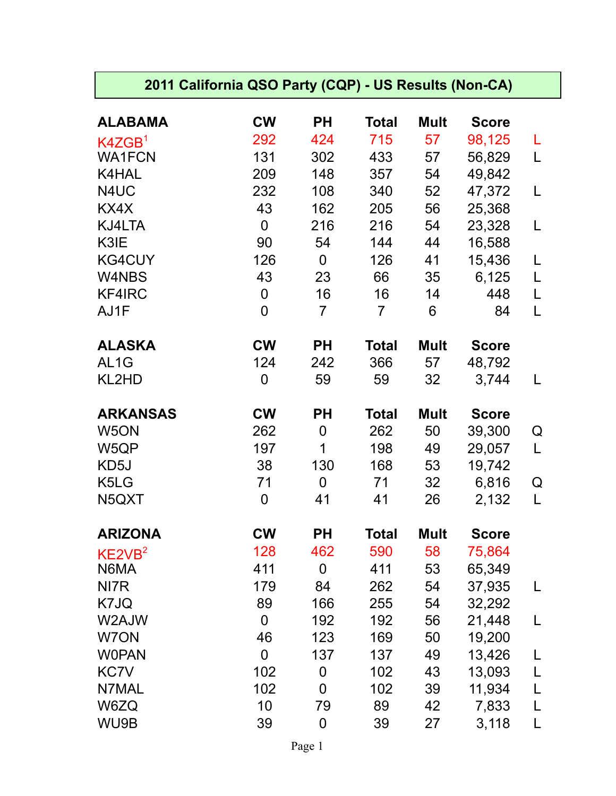## **2011 California QSO Party (CQP) - US Results (Non-CA)**

| <b>ALABAMA</b>     | <b>CW</b>        | <b>PH</b>      | <b>Total</b>   | <b>Mult</b> | <b>Score</b> |   |
|--------------------|------------------|----------------|----------------|-------------|--------------|---|
| K4ZGB <sup>1</sup> | 292              | 424            | 715            | 57          | 98,125       | L |
| <b>WA1FCN</b>      | 131              | 302            | 433            | 57          | 56,829       | L |
| K4HAL              | 209              | 148            | 357            | 54          | 49,842       |   |
| N4UC               | 232              | 108            | 340            | 52          | 47,372       | L |
| KX4X               | 43               | 162            | 205            | 56          | 25,368       |   |
| KJ4LTA             | $\mathbf 0$      | 216            | 216            | 54          | 23,328       | L |
| K3IE               | 90               | 54             | 144            | 44          | 16,588       |   |
| <b>KG4CUY</b>      | 126              | $\overline{0}$ | 126            | 41          | 15,436       | L |
| W4NBS              | 43               | 23             | 66             | 35          | 6,125        | L |
| KF4IRC             | $\boldsymbol{0}$ | 16             | 16             | 14          | 448          | L |
| AJ1F               | 0                | $\overline{7}$ | $\overline{7}$ | 6           | 84           | L |
| <b>ALASKA</b>      | <b>CW</b>        | <b>PH</b>      | <b>Total</b>   | <b>Mult</b> | <b>Score</b> |   |
| AL <sub>1</sub> G  | 124              | 242            | 366            | 57          | 48,792       |   |
| KL2HD              | $\boldsymbol{0}$ | 59             | 59             | 32          | 3,744        | L |
| <b>ARKANSAS</b>    | <b>CW</b>        | <b>PH</b>      | <b>Total</b>   | <b>Mult</b> | <b>Score</b> |   |
| W <sub>5</sub> ON  | 262              | $\mathbf 0$    | 262            | 50          | 39,300       | Q |
| W5QP               | 197              | 1              | 198            | 49          | 29,057       | L |
| KD5J               | 38               | 130            | 168            | 53          | 19,742       |   |
| K5LG               | 71               | $\mathbf 0$    | 71             | 32          | 6,816        | Q |
| N5QXT              | $\mathbf 0$      | 41             | 41             | 26          | 2,132        | L |
| <b>ARIZONA</b>     | <b>CW</b>        | <b>PH</b>      | <b>Total</b>   | <b>Mult</b> | <b>Score</b> |   |
| KE2VB <sup>2</sup> | 128              | 462            | 590            | 58          | 75,864       |   |
| N6MA               | 411              | 0              | 411            | 53          | 65,349       |   |
| NI7R               | 179              | 84             | 262            | 54          | 37,935       | L |
| K7JQ               | 89               | 166            | 255            | 54          | 32,292       |   |
| W2AJW              | $\mathbf 0$      | 192            | 192            | 56          | 21,448       | L |
| W7ON               | 46               | 123            | 169            | 50          | 19,200       |   |
| <b>WOPAN</b>       | 0                | 137            | 137            | 49          | 13,426       |   |
| KC7V               | 102              | 0              | 102            | 43          | 13,093       | L |
| N7MAL              | 102              | 0              | 102            | 39          | 11,934       |   |
| W6ZQ               | 10               | 79             | 89             | 42          | 7,833        |   |
| WU9B               | 39               | 0              | 39             | 27          | 3,118        | L |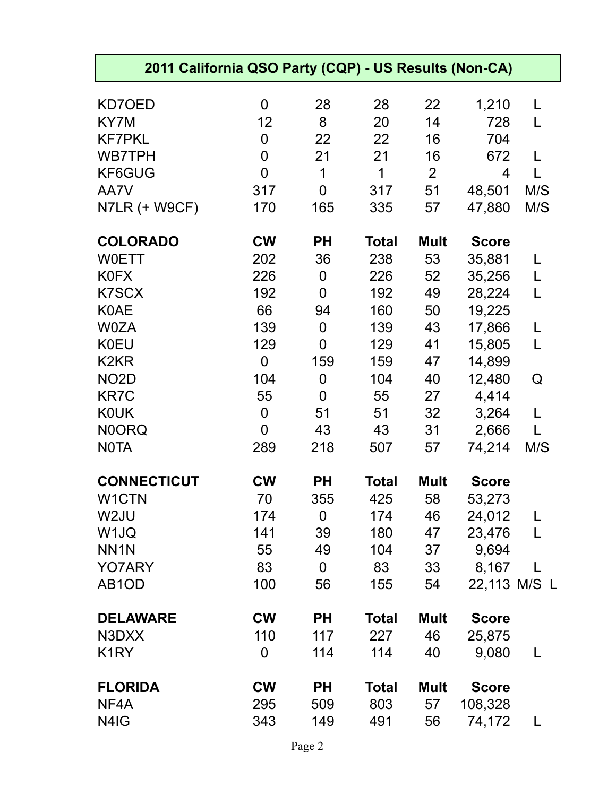| 2011 California QSO Party (CQP) - US Results (Non-CA) |                |             |              |                |              |              |
|-------------------------------------------------------|----------------|-------------|--------------|----------------|--------------|--------------|
| KD7OED                                                | 0              | 28          | 28           | 22             | 1,210        | L            |
| KY7M                                                  | 12             | 8           | 20           | 14             | 728          | L            |
| <b>KF7PKL</b>                                         | 0              | 22          | 22           | 16             | 704          |              |
| <b>WB7TPH</b>                                         | 0              | 21          | 21           | 16             | 672          |              |
| KF6GUG                                                | $\overline{0}$ | 1           | 1            | $\overline{2}$ | 4            |              |
| AA7V                                                  | 317            | 0           | 317          | 51             | 48,501       | M/S          |
| N7LR (+ W9CF)                                         | 170            | 165         | 335          | 57             | 47,880       | M/S          |
| <b>COLORADO</b>                                       | <b>CW</b>      | <b>PH</b>   | <b>Total</b> | <b>Mult</b>    | <b>Score</b> |              |
| <b>WOETT</b>                                          | 202            | 36          | 238          | 53             | 35,881       |              |
| <b>K0FX</b>                                           | 226            | 0           | 226          | 52             | 35,256       |              |
| <b>K7SCX</b>                                          | 192            | 0           | 192          | 49             | 28,224       | L            |
| <b>K0AE</b>                                           | 66             | 94          | 160          | 50             | 19,225       |              |
| <b>W0ZA</b>                                           | 139            | 0           | 139          | 43             | 17,866       | L            |
| <b>K0EU</b>                                           | 129            | 0           | 129          | 41             | 15,805       | L            |
| K <sub>2</sub> KR                                     | 0              | 159         | 159          | 47             | 14,899       |              |
| NO <sub>2</sub> D                                     | 104            | $\mathbf 0$ | 104          | 40             | 12,480       | Q            |
| <b>KR7C</b>                                           | 55             | 0           | 55           | 27             | 4,414        |              |
| <b>KOUK</b>                                           | 0              | 51          | 51           | 32             | 3,264        | L            |
| <b>NOORQ</b>                                          | $\overline{0}$ | 43          | 43           | 31             | 2,666        | L            |
| <b>NOTA</b>                                           | 289            | 218         | 507          | 57             | 74,214       | M/S          |
| <b>CONNECTICUT</b>                                    | <b>CW</b>      | <b>PH</b>   | <b>Total</b> | <b>Mult</b>    | <b>Score</b> |              |
| W1CTN                                                 | 70             | 355         | 425          | 58             | 53,273       |              |
| W <sub>2</sub> JU                                     | 174            | $\mathbf 0$ | 174          | 46             | 24,012       | L            |
| W1JQ                                                  | 141            | 39          | 180          | 47             | 23,476       | L            |
| NN <sub>1</sub> N                                     | 55             | 49          | 104          | 37             | 9,694        |              |
| YO7ARY                                                | 83             | $\mathbf 0$ | 83           | 33             | 8,167        |              |
| AB <sub>1</sub> OD                                    | 100            | 56          | 155          | 54             |              | 22,113 M/S L |
| <b>DELAWARE</b>                                       | <b>CW</b>      | <b>PH</b>   | <b>Total</b> | <b>Mult</b>    | <b>Score</b> |              |
| N3DXX                                                 | 110            | 117         | 227          | 46             | 25,875       |              |
| K <sub>1</sub> RY                                     | 0              | 114         | 114          | 40             | 9,080        | L            |
| <b>FLORIDA</b>                                        | <b>CW</b>      | <b>PH</b>   | <b>Total</b> | <b>Mult</b>    | <b>Score</b> |              |
| NF4A                                                  | 295            | 509         | 803          | 57             | 108,328      |              |
| N4IG                                                  | 343            | 149         | 491          | 56             | 74,172       | L            |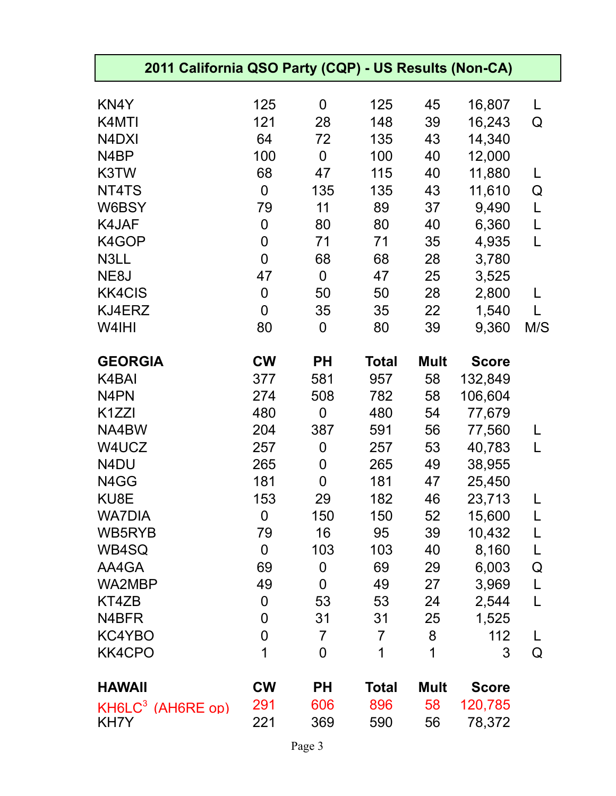| 2011 California QSO Party (CQP) - US Results (Non-CA) |                  |                |                |             |              |     |
|-------------------------------------------------------|------------------|----------------|----------------|-------------|--------------|-----|
|                                                       |                  |                |                |             |              |     |
| KN4Y                                                  | 125              | 0              | 125            | 45          | 16,807       | L   |
| K4MTI                                                 | 121<br>64        | 28             | 148            | 39          | 16,243       | Q   |
| N4DXI<br>N <sub>4</sub> BP                            |                  | 72<br>0        | 135            | 43          | 14,340       |     |
| K3TW                                                  | 100<br>68        | 47             | 100<br>115     | 40<br>40    | 12,000       | L   |
| NT4TS                                                 | $\mathbf 0$      |                | 135            | 43          | 11,880       |     |
| W6BSY                                                 |                  | 135            | 89             |             | 11,610       | Q   |
|                                                       | 79               | 11             |                | 37          | 9,490        | L   |
| K4JAF                                                 | $\boldsymbol{0}$ | 80             | 80             | 40          | 6,360        | L   |
| K4GOP                                                 | 0                | 71             | 71             | 35          | 4,935        | L   |
| N3LL                                                  | $\mathbf 0$      | 68             | 68             | 28          | 3,780        |     |
| NE8J                                                  | 47               | $\overline{0}$ | 47             | 25          | 3,525        |     |
| <b>KK4CIS</b>                                         | $\boldsymbol{0}$ | 50             | 50             | 28          | 2,800        | L   |
| KJ4ERZ                                                | $\mathbf 0$      | 35             | 35             | 22          | 1,540        | L   |
| W4IHI                                                 | 80               | 0              | 80             | 39          | 9,360        | M/S |
| <b>GEORGIA</b>                                        | <b>CW</b>        | <b>PH</b>      | <b>Total</b>   | <b>Mult</b> | <b>Score</b> |     |
| K4BAI                                                 | 377              | 581            | 957            | 58          | 132,849      |     |
| N <sub>4</sub> PN                                     | 274              | 508            | 782            | 58          | 106,604      |     |
| K <sub>1</sub> ZZI                                    | 480              | $\mathbf 0$    | 480            | 54          | 77,679       |     |
| NA4BW                                                 | 204              | 387            | 591            | 56          | 77,560       | L   |
| W4UCZ                                                 | 257              | 0              | 257            | 53          | 40,783       | L   |
| N4DU                                                  | 265              | 0              | 265            | 49          | 38,955       |     |
| N4GG                                                  | 181              | 0              | 181            | 47          | 25,450       |     |
| KU8E                                                  | 153              | 29             | 182            | 46          | 23,713       |     |
| <b>WA7DIA</b>                                         | $\mathbf 0$      | 150            | 150            | 52          | 15,600       | L   |
| WB5RYB                                                | 79               | 16             | 95             | 39          | 10,432       | L   |
| WB4SQ                                                 | $\boldsymbol{0}$ | 103            | 103            | 40          | 8,160        | L   |
| AA4GA                                                 | 69               | 0              | 69             | 29          | 6,003        | Q   |
| <b>WA2MBP</b>                                         | 49               | 0              | 49             | 27          | 3,969        | L   |
| KT4ZB                                                 | 0                | 53             | 53             | 24          | 2,544        | L   |
| N4BFR                                                 | $\overline{0}$   | 31             | 31             | 25          | 1,525        |     |
| KC4YBO                                                | $\overline{0}$   | $\overline{7}$ | $\overline{7}$ | 8           | 112          | L   |
| <b>KK4CPO</b>                                         | 1                | 0              | 1              | 1           | 3            | Q   |
| <b>HAWAII</b>                                         | <b>CW</b>        | <b>PH</b>      | <b>Total</b>   | <b>Mult</b> | <b>Score</b> |     |
| KH6LC <sup>3</sup> (AH6RE op)                         | 291              | 606            | 896            | 58          | 120,785      |     |
| KH7Y                                                  | 221              | 369            | 590            | 56          | 78,372       |     |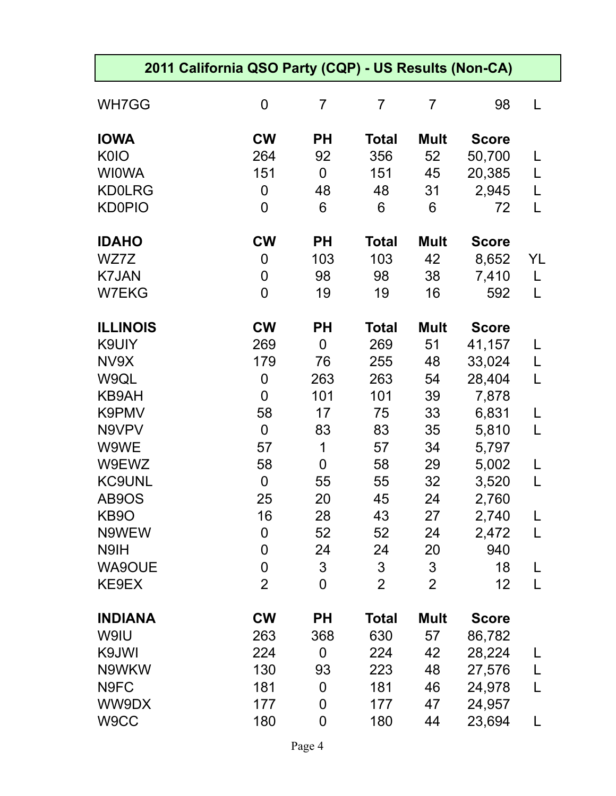|                 | 2011 California QSO Party (CQP) - US Results (Non-CA) |                |                |                |              |    |
|-----------------|-------------------------------------------------------|----------------|----------------|----------------|--------------|----|
| WH7GG           | $\mathbf 0$                                           | $\overline{7}$ | $\overline{7}$ | $\overline{7}$ | 98           | L  |
| <b>IOWA</b>     | <b>CW</b>                                             | <b>PH</b>      | <b>Total</b>   | <b>Mult</b>    | <b>Score</b> |    |
| <b>K0IO</b>     | 264                                                   | 92             | 356            | 52             | 50,700       | L  |
| <b>WIOWA</b>    | 151                                                   | $\mathbf 0$    | 151            | 45             | 20,385       | L  |
| <b>KD0LRG</b>   | $\mathbf 0$                                           | 48             | 48             | 31             | 2,945        | L  |
| <b>KD0PIO</b>   | $\overline{0}$                                        | 6              | 6              | 6              | 72           | L  |
| <b>IDAHO</b>    | <b>CW</b>                                             | <b>PH</b>      | <b>Total</b>   | <b>Mult</b>    | <b>Score</b> |    |
| WZ7Z            | $\mathbf 0$                                           | 103            | 103            | 42             | 8,652        | YL |
| <b>K7JAN</b>    | $\mathbf 0$                                           | 98             | 98             | 38             | 7,410        | L  |
| <b>W7EKG</b>    | $\overline{0}$                                        | 19             | 19             | 16             | 592          | L  |
| <b>ILLINOIS</b> | <b>CW</b>                                             | <b>PH</b>      | <b>Total</b>   | <b>Mult</b>    | <b>Score</b> |    |
| K9UIY           | 269                                                   | $\mathbf 0$    | 269            | 51             | 41,157       | L  |
| NV9X            | 179                                                   | 76             | 255            | 48             | 33,024       | L  |
| W9QL            | $\mathbf 0$                                           | 263            | 263            | 54             | 28,404       | L  |
| KB9AH           | $\overline{0}$                                        | 101            | 101            | 39             | 7,878        |    |
| K9PMV           | 58                                                    | 17             | 75             | 33             | 6,831        | L  |
| N9VPV           | $\overline{0}$                                        | 83             | 83             | 35             | 5,810        | L  |
| W9WE            | 57                                                    | 1              | 57             | 34             | 5,797        |    |
| W9EWZ           | 58                                                    | 0              | 58             | 29             | 5,002        | L  |
| <b>KC9UNL</b>   | $\overline{0}$                                        | 55             | 55             | 32             | 3,520        | L  |
| AB9OS           | 25                                                    | 20             | 45             | 24             | 2,760        |    |
| KB9O            | 16                                                    | 28             | 43             | 27             | 2,740        | L  |
| N9WEW           | $\mathbf 0$                                           | 52             | 52             | 24             | 2,472        | L  |
| N9IH            | $\boldsymbol{0}$                                      | 24             | 24             | 20             | 940          |    |
| <b>WA9OUE</b>   | $\mathbf 0$                                           | 3              | 3              | $\mathfrak{S}$ | 18           | L  |
| KE9EX           | $\overline{2}$                                        | $\overline{0}$ | $\overline{2}$ | $\overline{2}$ | 12           | L  |
| <b>INDIANA</b>  | <b>CW</b>                                             | <b>PH</b>      | <b>Total</b>   | <b>Mult</b>    | <b>Score</b> |    |
| W9IU            | 263                                                   | 368            | 630            | 57             | 86,782       |    |
| K9JWI           | 224                                                   | $\mathbf 0$    | 224            | 42             | 28,224       | L  |
| N9WKW           | 130                                                   | 93             | 223            | 48             | 27,576       | L  |
| N9FC            | 181                                                   | $\mathbf 0$    | 181            | 46             | 24,978       | L  |
| WW9DX           | 177                                                   | $\mathbf 0$    | 177            | 47             | 24,957       |    |
| W9CC            | 180                                                   | $\mathbf 0$    | 180            | 44             | 23,694       | L  |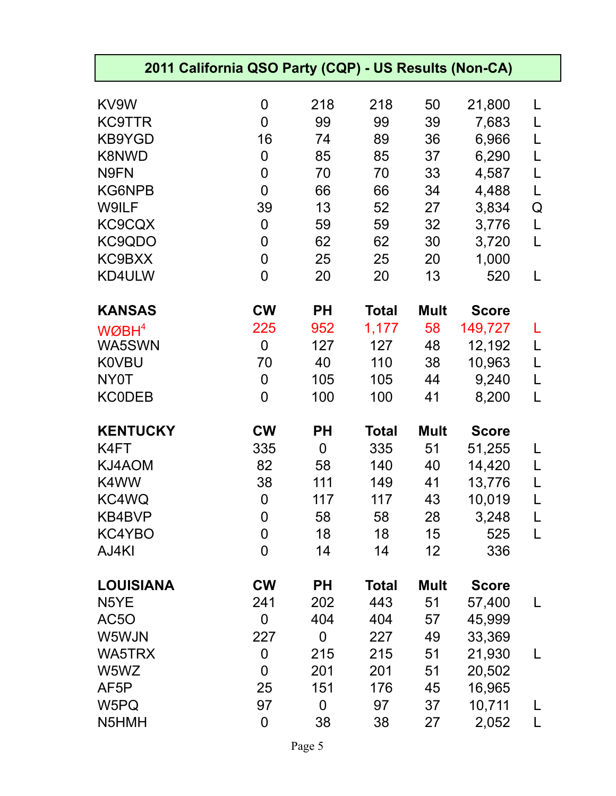| 2011 California QSO Party (CQP) - US Results (Non-CA) |                  |                |              |             |                         |        |  |
|-------------------------------------------------------|------------------|----------------|--------------|-------------|-------------------------|--------|--|
| KV9W                                                  | 0                | 218            | 218          | 50          | 21,800                  | L      |  |
| <b>KC9TTR</b>                                         | 0                | 99             | 99           | 39          | 7,683                   | L      |  |
| <b>KB9YGD</b>                                         | 16               | 74             | 89           | 36          | 6,966                   | L      |  |
| <b>K8NWD</b>                                          | 0                | 85             | 85           | 37          | 6,290                   | L      |  |
| N9FN                                                  | 0                | 70             | 70           | 33          | 4,587                   | L      |  |
| KG6NPB                                                | 0                | 66             | 66           | 34          | 4,488                   | L      |  |
| W9ILF                                                 | 39               | 13             | 52           | 27          | 3,834                   | Q      |  |
| KC9CQX                                                | 0                | 59             | 59           | 32          | 3,776                   | L      |  |
| KC9QDO                                                | 0                | 62             | 62           | 30          | 3,720                   | L      |  |
| KC9BXX                                                | 0                | 25             | 25           | 20          | 1,000                   |        |  |
| KD4ULW                                                | 0                | 20             | 20           | 13          | 520                     | L      |  |
| <b>KANSAS</b>                                         | <b>CW</b>        | <b>PH</b>      | <b>Total</b> | <b>Mult</b> |                         |        |  |
|                                                       | 225              |                |              | 58          | <b>Score</b><br>149,727 |        |  |
| $W\varnothing$ BH <sup>4</sup><br>WA5SWN              |                  | 952<br>127     | 1,177<br>127 |             |                         | L      |  |
|                                                       | $\boldsymbol{0}$ |                |              | 48          | 12,192                  | L      |  |
| <b>K0VBU</b><br>NY0T                                  | 70               | 40             | 110          | 38<br>44    | 10,963                  | L<br>L |  |
|                                                       | 0<br>0           | 105            | 105          |             | 9,240                   | L      |  |
| <b>KC0DEB</b>                                         |                  | 100            | 100          | 41          | 8,200                   |        |  |
| <b>KENTUCKY</b>                                       | <b>CW</b>        | <b>PH</b>      | <b>Total</b> | <b>Mult</b> | <b>Score</b>            |        |  |
| K4FT                                                  | 335              | $\mathbf 0$    | 335          | 51          | 51,255                  | L      |  |
| KJ4AOM                                                | 82               | 58             | 140          | 40          | 14,420                  | L      |  |
| K4WW                                                  | 38               | 111            | 149          | 41          | 13,776                  | L      |  |
| KC4WQ                                                 | $\overline{0}$   | 117            | 117          | 43          | 10,019                  |        |  |
| KB4BVP                                                | 0                | 58             | 58           | 28          | 3,248                   | L      |  |
| KC4YBO                                                | 0                | 18             | 18           | 15          | 525                     | L      |  |
| AJ4KI                                                 | 0                | 14             | 14           | 12          | 336                     |        |  |
| <b>LOUISIANA</b>                                      | <b>CW</b>        | <b>PH</b>      | <b>Total</b> | <b>Mult</b> | <b>Score</b>            |        |  |
| N <sub>5</sub> YE                                     | 241              | 202            | 443          | 51          | 57,400                  | L      |  |
| AC5O                                                  | 0                | 404            | 404          | 57          | 45,999                  |        |  |
| W5WJN                                                 | 227              | 0              | 227          | 49          | 33,369                  |        |  |
| WA5TRX                                                | 0                | 215            | 215          | 51          | 21,930                  | L      |  |
| W5WZ                                                  | 0                | 201            | 201          | 51          | 20,502                  |        |  |
| AF <sub>5</sub> P                                     | 25               | 151            | 176          | 45          | 16,965                  |        |  |
| W5PQ                                                  | 97               | $\overline{0}$ | 97           | 37          | 10,711                  | L      |  |
| N5HMH                                                 | 0                |                |              |             |                         |        |  |
|                                                       |                  | 38             | 38           | 27          | 2,052                   | L      |  |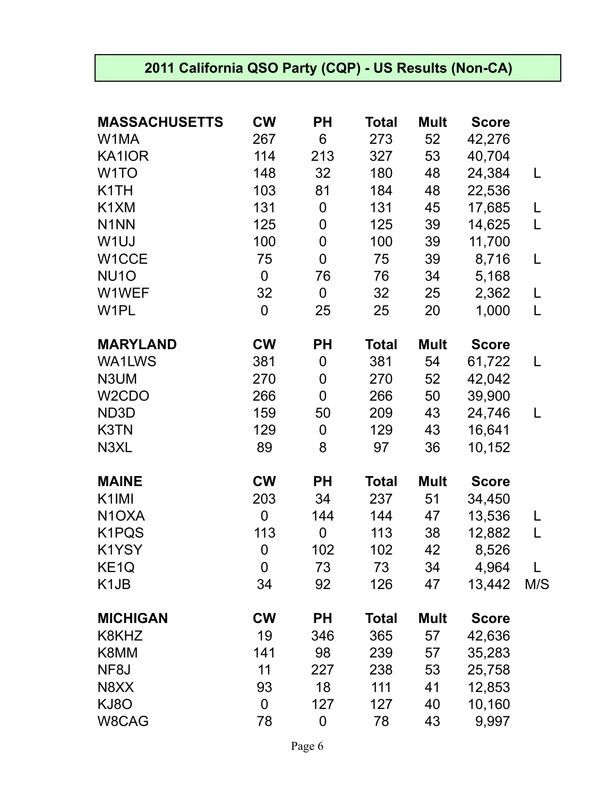## **2011 California QSO Party (CQP) - US Results (Non-CA)**

| <b>MASSACHUSETTS</b>          | <b>CW</b>      | <b>PH</b>        | Total        | <b>Mult</b> | <b>Score</b> |     |
|-------------------------------|----------------|------------------|--------------|-------------|--------------|-----|
| W1MA                          | 267            | 6                | 273          | 52          | 42,276       |     |
| KA1IOR                        | 114            | 213              | 327          | 53          | 40,704       |     |
| W <sub>1</sub> TO             | 148            | 32               | 180          | 48          | 24,384       | L   |
| K <sub>1</sub> TH             | 103            | 81               | 184          | 48          | 22,536       |     |
| K <sub>1</sub> XM             | 131            | $\boldsymbol{0}$ | 131          | 45          | 17,685       | L   |
| N <sub>1</sub> NN             | 125            | 0                | 125          | 39          | 14,625       | L   |
| W <sub>1UJ</sub>              | 100            | $\mathbf 0$      | 100          | 39          | 11,700       |     |
| W1CCE                         | 75             | $\mathbf 0$      | 75           | 39          | 8,716        | L   |
| <b>NU10</b>                   | $\mathbf 0$    | 76               | 76           | 34          | 5,168        |     |
| W1WEF                         | 32             | $\mathbf 0$      | 32           | 25          | 2,362        | L   |
| W <sub>1</sub> PL             | 0              | 25               | 25           | 20          | 1,000        | L   |
| <b>MARYLAND</b>               | <b>CW</b>      | <b>PH</b>        | <b>Total</b> | <b>Mult</b> | <b>Score</b> |     |
| <b>WA1LWS</b>                 | 381            | 0                | 381          | 54          | 61,722       | L   |
| N3UM                          | 270            | 0                | 270          | 52          | 42,042       |     |
| W <sub>2</sub> CDO            | 266            | $\mathbf 0$      | 266          | 50          | 39,900       |     |
| ND3D                          | 159            | 50               | 209          | 43          | 24,746       | L   |
| K3TN                          | 129            | $\boldsymbol{0}$ | 129          | 43          | 16,641       |     |
| N3XL                          | 89             | 8                | 97           | 36          | 10,152       |     |
| <b>MAINE</b>                  | <b>CW</b>      | <b>PH</b>        | <b>Total</b> | <b>Mult</b> | <b>Score</b> |     |
| K <sub>1</sub> IMI            | 203            | 34               | 237          | 51          | 34,450       |     |
| N <sub>1</sub> OXA            | $\mathbf 0$    | 144              | 144          | 47          | 13,536       | L   |
| K1PQS                         | 113            | $\boldsymbol{0}$ | 113          | 38          | 12,882       | L   |
| K1YSY                         | $\mathbf 0$    | 102              | 102          | 42          | 8,526        |     |
| KE <sub>1</sub> Q             | 0              | 73               | 73           | 34          | 4,964        |     |
| K <sub>1</sub> J <sub>B</sub> | 34             | 92               | 126          | 47          | 13,442       | M/S |
| <b>MICHIGAN</b>               | <b>CW</b>      | <b>PH</b>        | <b>Total</b> | <b>Mult</b> | <b>Score</b> |     |
| K8KHZ                         | 19             | 346              | 365          | 57          | 42,636       |     |
| K8MM                          | 141            | 98               | 239          | 57          | 35,283       |     |
| NF8J                          | 11             | 227              | 238          | 53          | 25,758       |     |
| N8XX                          | 93             | 18               | 111          | 41          | 12,853       |     |
| KJ8O                          | $\overline{0}$ | 127              | 127          | 40          | 10,160       |     |
| W8CAG                         | 78             | 0                | 78           | 43          | 9,997        |     |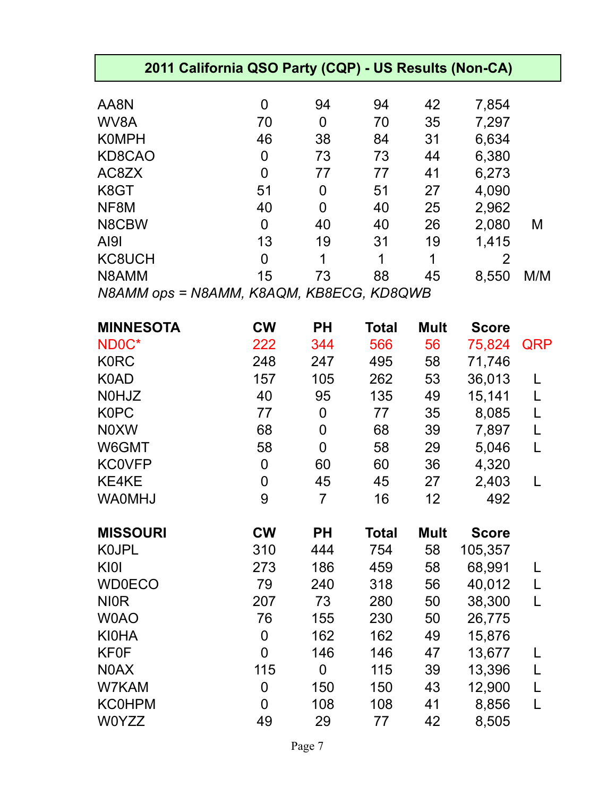| 2011 California QSO Party (CQP) - US Results (Non-CA) |                |                  |              |             |              |            |  |
|-------------------------------------------------------|----------------|------------------|--------------|-------------|--------------|------------|--|
| AA8N                                                  | 0              | 94               | 94           | 42          | 7,854        |            |  |
| WV8A                                                  | 70             | $\mathbf 0$      | 70           | 35          | 7,297        |            |  |
| <b>KOMPH</b>                                          | 46             | 38               | 84           | 31          | 6,634        |            |  |
| KD8CAO                                                | $\mathbf 0$    | 73               | 73           | 44          | 6,380        |            |  |
| AC8ZX                                                 | $\overline{0}$ | 77               | 77           | 41          | 6,273        |            |  |
| K8GT                                                  | 51             | $\mathbf 0$      | 51           | 27          | 4,090        |            |  |
| NF8M                                                  | 40             | $\mathbf 0$      | 40           | 25          | 2,962        |            |  |
| N8CBW                                                 | $\mathbf 0$    | 40               | 40           | 26          | 2,080        | M          |  |
| AI9I                                                  | 13             | 19               | 31           | 19          | 1,415        |            |  |
| KC8UCH                                                | $\mathbf 0$    | 1                | 1            | 1           | 2            |            |  |
| N8AMM                                                 | 15             | 73               | 88           | 45          | 8,550        | M/M        |  |
| N8AMM ops = N8AMM, K8AQM, KB8ECG, KD8QWB              |                |                  |              |             |              |            |  |
|                                                       |                |                  |              |             |              |            |  |
| <b>MINNESOTA</b>                                      | <b>CW</b>      | <b>PH</b>        | <b>Total</b> | <b>Mult</b> | <b>Score</b> |            |  |
| ND <sub>0C</sub> *                                    | 222            | 344              | 566          | 56          | 75,824       | <b>QRP</b> |  |
| <b>K0RC</b>                                           | 248            | 247              | 495          | 58          | 71,746       |            |  |
| K0AD                                                  | 157            | 105              | 262          | 53          | 36,013       |            |  |
| <b>NOHJZ</b>                                          | 40             | 95               | 135          | 49          | 15,141       | L          |  |
| K0PC                                                  | 77             | $\boldsymbol{0}$ | 77           | 35          | 8,085        | L          |  |
| <b>NOXW</b>                                           | 68             | 0                | 68           | 39          | 7,897        | L          |  |
| W6GMT                                                 | 58             | $\mathbf 0$      | 58           | 29          | 5,046        | L          |  |
| <b>KC0VFP</b>                                         | 0              | 60               | 60           | 36          | 4,320        |            |  |
| KE4KE                                                 | $\overline{0}$ | 45               | 45           | 27          | 2,403        |            |  |
| WA0MHJ                                                | 9              | $\overline{7}$   | 16           | 12          | 492          |            |  |
| <b>MISSOURI</b>                                       | <b>CW</b>      | <b>PH</b>        | <b>Total</b> | <b>Mult</b> | <b>Score</b> |            |  |
| K0JPL                                                 | 310            | 444              | 754          | 58          | 105,357      |            |  |
| KIOI                                                  | 273            | 186              | 459          | 58          | 68,991       |            |  |
| <b>WD0ECO</b>                                         | 79             | 240              | 318          | 56          | 40,012       | L          |  |
| <b>NIOR</b>                                           | 207            | 73               | 280          | 50          | 38,300       |            |  |
| W0AO                                                  | 76             | 155              | 230          | 50          | 26,775       |            |  |
| <b>KI0HA</b>                                          | 0              | 162              | 162          | 49          | 15,876       |            |  |
| <b>KF0F</b>                                           | $\overline{0}$ | 146              | 146          | 47          | 13,677       | L          |  |
| N0AX                                                  | 115            | $\Omega$         | 115          | 39          | 13,396       | L          |  |
| W7KAM                                                 | 0              | 150              | 150          | 43          | 12,900       | L          |  |
| <b>KC0HPM</b>                                         | $\overline{0}$ | 108              | 108          | 41          | 8,856        |            |  |
| <b>W0YZZ</b>                                          | 49             | 29               | 77           | 42          | 8,505        |            |  |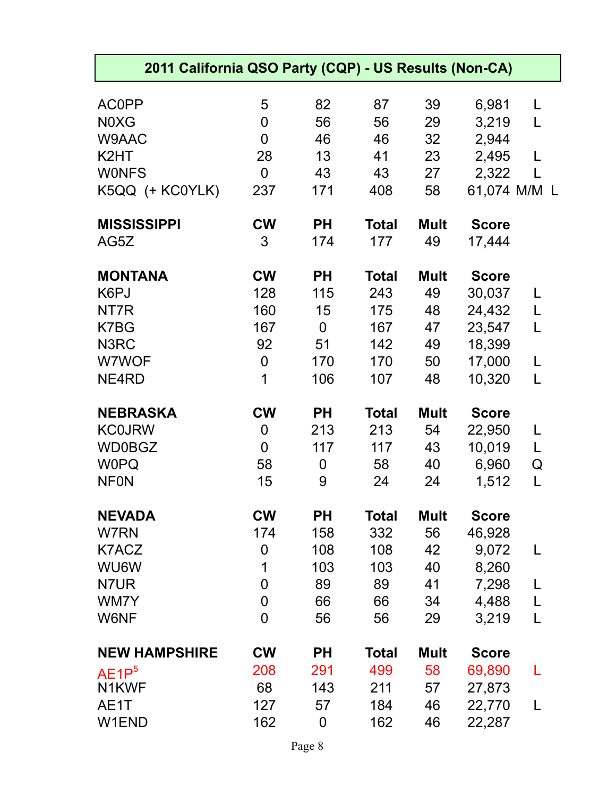| 2011 California QSO Party (CQP) - US Results (Non-CA) |                |           |              |             |              |              |
|-------------------------------------------------------|----------------|-----------|--------------|-------------|--------------|--------------|
| <b>AC0PP</b>                                          | 5              | 82        | 87           | 39          | 6,981        | L            |
| N0XG                                                  | 0              | 56        | 56           | 29          | 3,219        | L            |
| W9AAC                                                 | $\overline{0}$ | 46        | 46           | 32          | 2,944        |              |
| K <sub>2</sub> HT                                     | 28             | 13        | 41           | 23          | 2,495        |              |
| <b>WONFS</b>                                          | $\Omega$       | 43        | 43           | 27          | 2,322        |              |
| K5QQ (+ KC0YLK)                                       | 237            | 171       | 408          | 58          |              | 61,074 M/M L |
| <b>MISSISSIPPI</b>                                    | <b>CW</b>      | <b>PH</b> | <b>Total</b> | <b>Mult</b> | <b>Score</b> |              |
| AG5Z                                                  | 3              | 174       | 177          | 49          | 17,444       |              |
| <b>MONTANA</b>                                        | <b>CW</b>      | <b>PH</b> | <b>Total</b> | <b>Mult</b> | <b>Score</b> |              |
| K6PJ                                                  | 128            | 115       | 243          | 49          | 30,037       |              |
| NT7R                                                  | 160            | 15        | 175          | 48          | 24,432       | L            |
| K7BG                                                  | 167            | 0         | 167          | 47          | 23,547       | L            |
| N3RC                                                  | 92             | 51        | 142          | 49          | 18,399       |              |
| W7WOF                                                 | $\overline{0}$ | 170       | 170          | 50          | 17,000       | L            |
| NE4RD                                                 | 1              | 106       | 107          | 48          | 10,320       | L            |
| <b>NEBRASKA</b>                                       | <b>CW</b>      | <b>PH</b> | <b>Total</b> | <b>Mult</b> | <b>Score</b> |              |
| <b>KC0JRW</b>                                         | 0              | 213       | 213          | 54          | 22,950       | L            |
| <b>WD0BGZ</b>                                         | $\overline{0}$ | 117       | 117          | 43          | 10,019       | L            |
| <b>WOPQ</b>                                           | 58             | 0         | 58           | 40          | 6,960        | Q            |
| <b>NFON</b>                                           | 15             | 9         | 24           | 24          | 1,512        | L            |
| <b>NEVADA</b>                                         | <b>CW</b>      | <b>PH</b> | <b>Total</b> | <b>Mult</b> | <b>Score</b> |              |
| W7RN                                                  | 174            | 158       | 332          | 56          | 46,928       |              |
| K7ACZ                                                 | 0              | 108       | 108          | 42          | 9,072        | L            |
| WU6W                                                  | 1              | 103       | 103          | 40          | 8,260        |              |
| N7UR                                                  | $\overline{0}$ | 89        | 89           | 41          | 7,298        |              |
| WM7Y                                                  | $\overline{0}$ | 66        | 66           | 34          | 4,488        | L            |
| W6NF                                                  | $\overline{0}$ | 56        | 56           | 29          | 3,219        | L            |
| <b>NEW HAMPSHIRE</b>                                  | <b>CW</b>      | <b>PH</b> | <b>Total</b> | <b>Mult</b> | <b>Score</b> |              |
| AE1P <sup>5</sup>                                     | 208            | 291       | 499          | 58          | 69,890       |              |
| N1KWF                                                 | 68             | 143       | 211          | 57          | 27,873       |              |
| AE1T                                                  | 127            | 57        | 184          | 46          | 22,770       |              |
| W1END                                                 | 162            | 0         | 162          | 46          | 22,287       |              |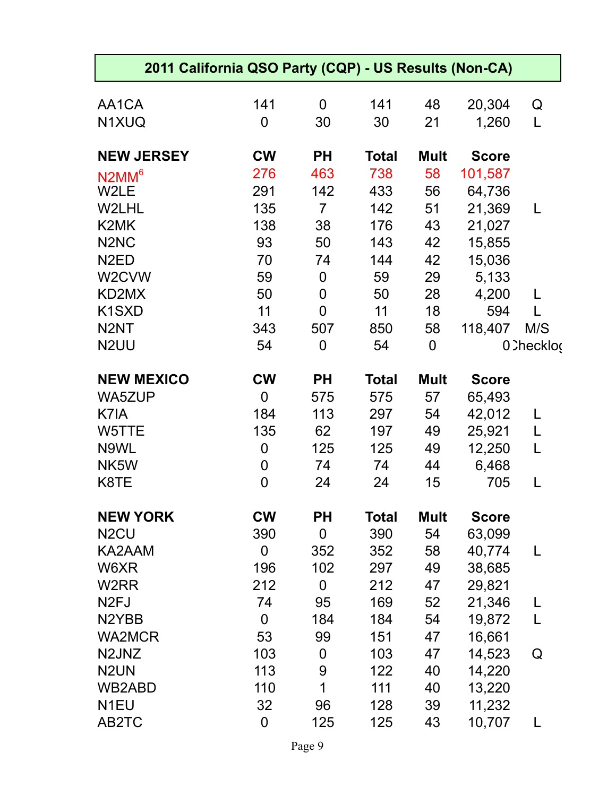| 2011 California QSO Party (CQP) - US Results (Non-CA) |                  |                |              |                |              |             |
|-------------------------------------------------------|------------------|----------------|--------------|----------------|--------------|-------------|
|                                                       |                  |                |              |                |              |             |
| AA1CA                                                 | 141              | $\overline{0}$ | 141          | 48             | 20,304       | Q           |
| N1XUQ                                                 | $\overline{0}$   | 30             | 30           | 21             | 1,260        | L           |
| <b>NEW JERSEY</b>                                     | <b>CW</b>        | <b>PH</b>      | <b>Total</b> | <b>Mult</b>    | <b>Score</b> |             |
| $N2MM^6$                                              | 276              | 463            | 738          | 58             | 101,587      |             |
| W2LE                                                  | 291              | 142            | 433          | 56             | 64,736       |             |
| W2LHL                                                 | 135              | $\overline{7}$ | 142          | 51             | 21,369       | L           |
| K2MK                                                  | 138              | 38             | 176          | 43             | 21,027       |             |
| N <sub>2</sub> N <sub>C</sub>                         | 93               | 50             | 143          | 42             | 15,855       |             |
| N <sub>2</sub> ED                                     | 70               | 74             | 144          | 42             | 15,036       |             |
| W <sub>2</sub> CVW                                    | 59               | $\overline{0}$ | 59           | 29             | 5,133        |             |
| KD2MX                                                 | 50               | 0              | 50           | 28             | 4,200        |             |
| K <sub>1</sub> S <sub>XD</sub>                        | 11               | $\mathbf 0$    | 11           | 18             | 594          |             |
| N <sub>2</sub> NT                                     | 343              | 507            | 850          | 58             | 118,407      | M/S         |
| N <sub>2</sub> UU                                     | 54               | $\mathbf 0$    | 54           | $\overline{0}$ |              | 0. Checklog |
| <b>NEW MEXICO</b>                                     | <b>CW</b>        | <b>PH</b>      | <b>Total</b> | <b>Mult</b>    | <b>Score</b> |             |
| <b>WA5ZUP</b>                                         | $\mathbf 0$      | 575            | 575          | 57             | 65,493       |             |
| K7IA                                                  | 184              | 113            | 297          | 54             | 42,012       | L           |
| W5TTE                                                 | 135              | 62             | 197          | 49             | 25,921       | L           |
| N9WL                                                  | 0                | 125            | 125          | 49             | 12,250       | L           |
| NK5W                                                  | 0                | 74             | 74           | 44             | 6,468        |             |
| K8TE                                                  | $\overline{0}$   | 24             | 24           | 15             | 705          |             |
| <b>NEW YORK</b>                                       | <b>CW</b>        | <b>PH</b>      | <b>Total</b> | <b>Mult</b>    | <b>Score</b> |             |
| N <sub>2</sub> CU                                     | 390              | $\mathbf 0$    | 390          | 54             | 63,099       |             |
| KA2AAM                                                | $\mathbf 0$      | 352            | 352          | 58             | 40,774       | L           |
| W6XR                                                  | 196              | 102            | 297          | 49             | 38,685       |             |
| W2RR                                                  | 212              | $\overline{0}$ | 212          | 47             | 29,821       |             |
| N <sub>2FJ</sub>                                      | 74               | 95             | 169          | 52             | 21,346       |             |
| N <sub>2</sub> YBB                                    | $\mathbf 0$      | 184            | 184          | 54             | 19,872       | L           |
| <b>WA2MCR</b>                                         | 53               | 99             | 151          | 47             | 16,661       |             |
| N2JNZ                                                 | 103              | 0              | 103          | 47             | 14,523       | Q           |
| N <sub>2</sub> UN                                     | 113              | 9              | 122          | 40             | 14,220       |             |
| WB2ABD                                                | 110              | 1              | 111          | 40             | 13,220       |             |
| N <sub>1EU</sub>                                      | 32               | 96             | 128          | 39             | 11,232       |             |
| AB2TC                                                 | $\boldsymbol{0}$ | 125            | 125          | 43             | 10,707       |             |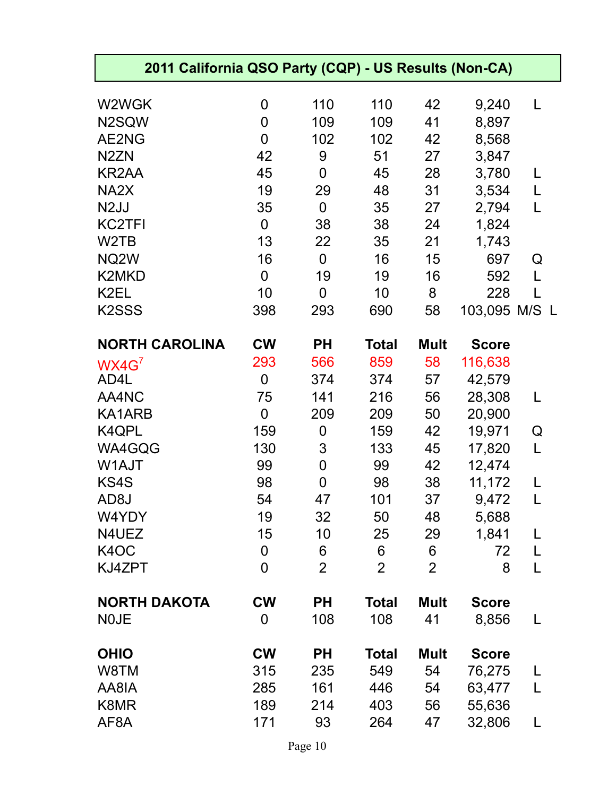| 2011 California QSO Party (CQP) - US Results (Non-CA) |                |                |                |                |               |   |
|-------------------------------------------------------|----------------|----------------|----------------|----------------|---------------|---|
| W2WGK                                                 | 0              | 110            | 110            | 42             | 9,240         | L |
| N2SQW                                                 | $\overline{0}$ | 109            | 109            | 41             | 8,897         |   |
| AE2NG                                                 | $\mathbf 0$    | 102            | 102            | 42             | 8,568         |   |
| N <sub>2</sub> ZN                                     | 42             | 9              | 51             | 27             | 3,847         |   |
| <b>KR2AA</b>                                          | 45             | $\mathbf 0$    | 45             | 28             | 3,780         |   |
| NA <sub>2</sub> X                                     | 19             | 29             | 48             | 31             | 3,534         | L |
| N <sub>2</sub> JJ                                     | 35             | $\overline{0}$ | 35             | 27             | 2,794         | L |
| <b>KC2TFI</b>                                         | $\overline{0}$ | 38             | 38             | 24             | 1,824         |   |
| W2TB                                                  | 13             | 22             | 35             | 21             | 1,743         |   |
| NQ2W                                                  | 16             | $\overline{0}$ | 16             | 15             | 697           | Q |
| <b>K2MKD</b>                                          | $\overline{0}$ | 19             | 19             | 16             | 592           |   |
| K2EL                                                  | 10             | $\mathbf 0$    | 10             | 8              | 228           |   |
| K <sub>2</sub> SSS                                    | 398            | 293            | 690            | 58             | 103,095 M/S L |   |
| <b>NORTH CAROLINA</b>                                 | <b>CW</b>      | <b>PH</b>      | <b>Total</b>   | <b>Mult</b>    | <b>Score</b>  |   |
| WX4G <sup>7</sup>                                     | 293            | 566            | 859            | 58             | 116,638       |   |
| AD4L                                                  | $\overline{0}$ | 374            | 374            | 57             | 42,579        |   |
| AA4NC                                                 | 75             | 141            | 216            | 56             | 28,308        |   |
| KA1ARB                                                | $\mathbf 0$    | 209            | 209            | 50             | 20,900        |   |
| K4QPL                                                 | 159            | $\mathbf 0$    | 159            | 42             | 19,971        | Q |
| WA4GQG                                                | 130            | 3              | 133            | 45             | 17,820        | L |
| W1AJT                                                 | 99             | $\mathbf 0$    | 99             | 42             | 12,474        |   |
| KS4S                                                  | 98             | $\overline{0}$ | 98             | 38             | 11,172        |   |
| AD <sub>8</sub> J                                     | 54             | 47             | 101            | 37             | 9,472         |   |
| W4YDY                                                 | 19             | 32             | 50             | 48             | 5,688         |   |
| N4UEZ                                                 | 15             | 10             | 25             | 29             | 1,841         | L |
| K4OC                                                  | 0              | 6              | 6              | 6              | 72            | L |
| KJ4ZPT                                                | $\overline{0}$ | $\overline{2}$ | $\overline{2}$ | $\overline{2}$ | 8             | L |
| <b>NORTH DAKOTA</b>                                   | <b>CW</b>      | <b>PH</b>      | <b>Total</b>   | <b>Mult</b>    | <b>Score</b>  |   |
| <b>NOJE</b>                                           | $\mathbf 0$    | 108            | 108            | 41             | 8,856         | L |
| <b>OHIO</b>                                           | <b>CW</b>      | <b>PH</b>      | <b>Total</b>   | <b>Mult</b>    | <b>Score</b>  |   |
| W8TM                                                  | 315            | 235            | 549            | 54             | 76,275        |   |
| AA8IA                                                 | 285            | 161            | 446            | 54             | 63,477        | L |
| K8MR                                                  | 189            | 214            | 403            | 56             | 55,636        |   |
| AF8A                                                  | 171            | 93             | 264            | 47             | 32,806        |   |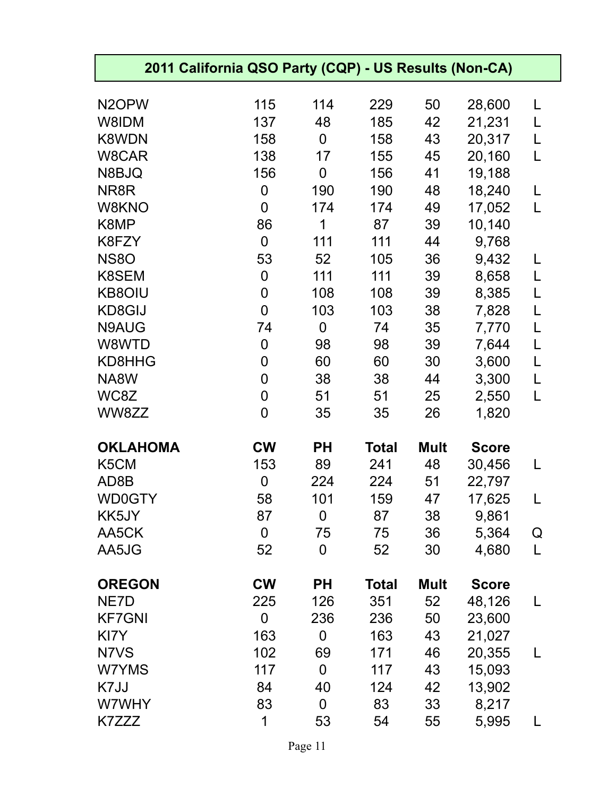| 2011 California QSO Party (CQP) - US Results (Non-CA) |                |                |              |             |              |   |
|-------------------------------------------------------|----------------|----------------|--------------|-------------|--------------|---|
| N <sub>2</sub> OPW                                    | 115            | 114            | 229          | 50          | 28,600       | L |
| W8IDM                                                 | 137            | 48             | 185          | 42          | 21,231       | L |
| <b>K8WDN</b>                                          | 158            | 0              | 158          | 43          | 20,317       | L |
| W8CAR                                                 | 138            | 17             | 155          | 45          | 20,160       | L |
| N8BJQ                                                 | 156            | 0              | 156          | 41          | 19,188       |   |
| NR8R                                                  | 0              | 190            | 190          | 48          | 18,240       | L |
| W8KNO                                                 | $\overline{0}$ | 174            | 174          | 49          | 17,052       | L |
| K8MP                                                  | 86             | 1              | 87           | 39          | 10,140       |   |
| K8FZY                                                 | $\mathbf 0$    | 111            | 111          | 44          | 9,768        |   |
| <b>NS80</b>                                           | 53             | 52             | 105          | 36          | 9,432        | L |
| K8SEM                                                 | 0              | 111            | 111          | 39          | 8,658        | L |
| <b>KB8OIU</b>                                         | 0              | 108            | 108          | 39          | 8,385        | L |
| KD8GIJ                                                | $\overline{0}$ | 103            | 103          | 38          | 7,828        | L |
| N9AUG                                                 | 74             | $\mathbf 0$    | 74           | 35          | 7,770        | L |
| W8WTD                                                 | 0              | 98             | 98           | 39          | 7,644        | L |
| KD8HHG                                                | 0              | 60             | 60           | 30          | 3,600        | L |
| NA8W                                                  | 0              | 38             | 38           | 44          | 3,300        | L |
| WC8Z                                                  | $\overline{0}$ | 51             | 51           | 25          | 2,550        | L |
| WW8ZZ                                                 | 0              | 35             | 35           | 26          | 1,820        |   |
| <b>OKLAHOMA</b>                                       | <b>CW</b>      | <b>PH</b>      | <b>Total</b> | <b>Mult</b> | <b>Score</b> |   |
| K5CM                                                  | 153            | 89             | 241          | 48          | 30,456       | L |
| AD8B                                                  | 0              | 224            | 224          | 51          | 22,797       |   |
| <b>WD0GTY</b>                                         | 58             | 101            | 159          | 47          | 17,625       |   |
| KK5JY                                                 | 87             | $\mathbf 0$    | 87           | 38          | 9,861        |   |
| AA5CK                                                 | $\mathbf 0$    | 75             | 75           | 36          | 5,364        | Q |
| AA5JG                                                 | 52             | $\overline{0}$ | 52           | 30          | 4,680        | L |
| <b>OREGON</b>                                         | <b>CW</b>      | <b>PH</b>      | <b>Total</b> | <b>Mult</b> | <b>Score</b> |   |
| NE7D                                                  | 225            | 126            | 351          | 52          | 48,126       | L |
| <b>KF7GNI</b>                                         | $\mathbf 0$    | 236            | 236          | 50          | 23,600       |   |
| KI7Y                                                  | 163            | $\mathbf 0$    | 163          | 43          | 21,027       |   |
| N7VS                                                  | 102            | 69             | 171          | 46          | 20,355       | L |
| W7YMS                                                 | 117            | $\mathbf 0$    | 117          | 43          | 15,093       |   |
| K7JJ                                                  | 84             | 40             | 124          | 42          | 13,902       |   |
| W7WHY                                                 | 83             | $\mathbf 0$    | 83           | 33          | 8,217        |   |
| K7ZZZ                                                 | 1              | 53             | 54           | 55          | 5,995        | L |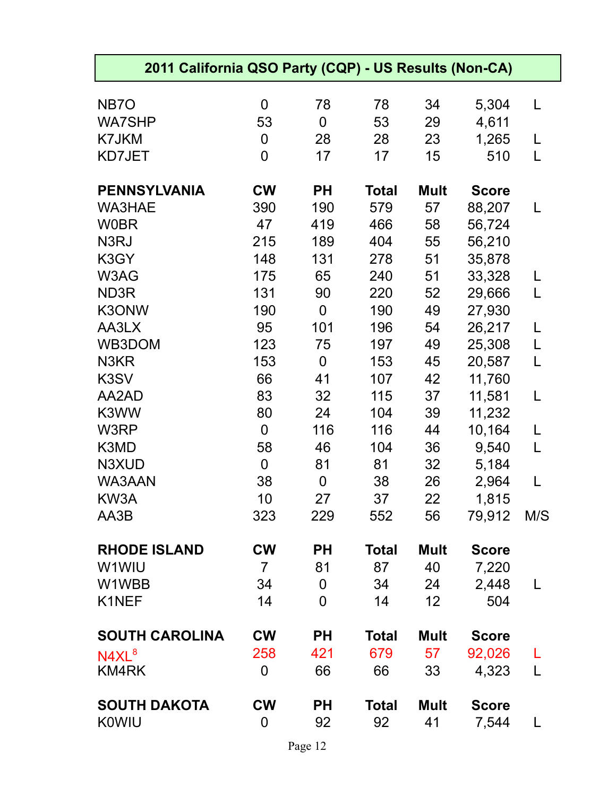| 2011 California QSO Party (CQP) - US Results (Non-CA) |                |                |              |             |              |     |  |  |
|-------------------------------------------------------|----------------|----------------|--------------|-------------|--------------|-----|--|--|
| NB <sub>7</sub> O                                     | $\mathbf 0$    | 78             | 78           | 34          | 5,304        | L   |  |  |
| <b>WA7SHP</b>                                         | 53             | $\mathbf 0$    | 53           | 29          | 4,611        |     |  |  |
| K7JKM                                                 | 0              | 28             | 28           | 23          | 1,265        | L   |  |  |
| KD7JET                                                | $\overline{0}$ | 17             | 17           | 15          | 510          | L   |  |  |
| <b>PENNSYLVANIA</b>                                   | <b>CW</b>      | <b>PH</b>      | <b>Total</b> | <b>Mult</b> | <b>Score</b> |     |  |  |
| <b>WA3HAE</b>                                         | 390            | 190            | 579          | 57          | 88,207       | L   |  |  |
| <b>W0BR</b>                                           | 47             | 419            | 466          | 58          | 56,724       |     |  |  |
| N3RJ                                                  | 215            | 189            | 404          | 55          | 56,210       |     |  |  |
| K3GY                                                  | 148            | 131            | 278          | 51          | 35,878       |     |  |  |
| W3AG                                                  | 175            | 65             | 240          | 51          | 33,328       | L   |  |  |
| ND3R                                                  | 131            | 90             | 220          | 52          | 29,666       | L   |  |  |
| K3ONW                                                 | 190            | $\mathbf 0$    | 190          | 49          | 27,930       |     |  |  |
| AA3LX                                                 | 95             | 101            | 196          | 54          | 26,217       | L   |  |  |
| WB3DOM                                                | 123            | 75             | 197          | 49          | 25,308       | L   |  |  |
| N3KR                                                  | 153            | $\mathbf 0$    | 153          | 45          | 20,587       | L   |  |  |
| K3SV                                                  | 66             | 41             | 107          | 42          | 11,760       |     |  |  |
| AA2AD                                                 | 83             | 32             | 115          | 37          | 11,581       | L   |  |  |
| K3WW                                                  | 80             | 24             | 104          | 39          | 11,232       |     |  |  |
| W3RP                                                  | $\mathbf 0$    | 116            | 116          | 44          | 10,164       | L   |  |  |
| K3MD                                                  | 58             | 46             | 104          | 36          | 9,540        | L   |  |  |
| N3XUD                                                 | $\mathbf 0$    | 81             | 81           | 32          | 5,184        |     |  |  |
| WA3AAN                                                | 38             | $\mathbf 0$    | 38           | 26          | 2,964        | L   |  |  |
| KW3A                                                  | 10             | 27             | 37           | 22          | 1,815        |     |  |  |
| AA3B                                                  | 323            | 229            | 552          | 56          | 79,912       | M/S |  |  |
| <b>RHODE ISLAND</b>                                   | <b>CW</b>      | <b>PH</b>      | <b>Total</b> | Mult        | <b>Score</b> |     |  |  |
| W1WIU                                                 | $\overline{7}$ | 81             | 87           | 40          | 7,220        |     |  |  |
| W1WBB                                                 | 34             | $\mathbf 0$    | 34           | 24          | 2,448        | L   |  |  |
| K1NEF                                                 | 14             | $\overline{0}$ | 14           | 12          | 504          |     |  |  |
| <b>SOUTH CAROLINA</b>                                 | <b>CW</b>      | <b>PH</b>      | <b>Total</b> | <b>Mult</b> | <b>Score</b> |     |  |  |
| N4XL <sup>8</sup>                                     | 258            | 421            | 679          | 57          | 92,026       |     |  |  |
| KM4RK                                                 | $\mathbf 0$    | 66             | 66           | 33          | 4,323        | L   |  |  |
| <b>SOUTH DAKOTA</b>                                   | <b>CW</b>      | <b>PH</b>      | <b>Total</b> | <b>Mult</b> | <b>Score</b> |     |  |  |
| <b>K0WIU</b>                                          | 0              | 92             | 92           | 41          | 7,544        | L   |  |  |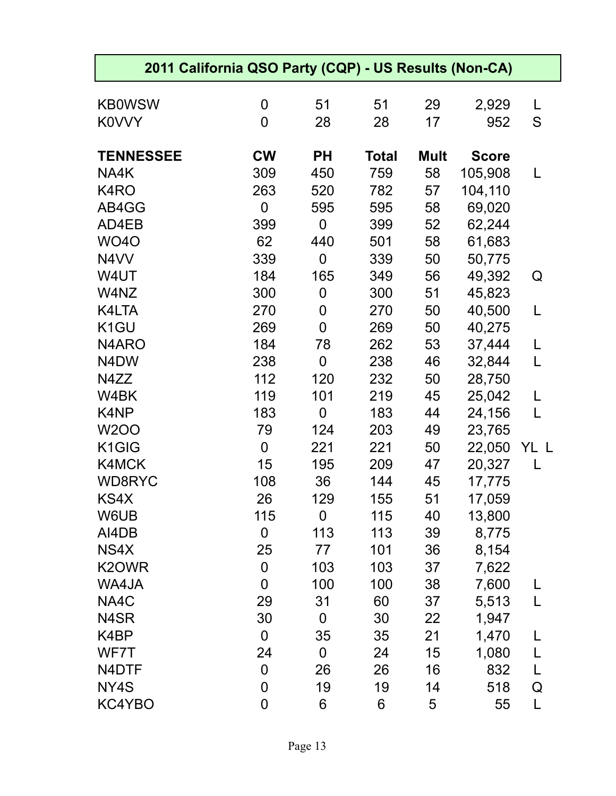| 2011 California QSO Party (CQP) - US Results (Non-CA) |                  |             |              |             |              |      |
|-------------------------------------------------------|------------------|-------------|--------------|-------------|--------------|------|
| <b>KB0WSW</b>                                         | 0                | 51          | 51           | 29          | 2,929        | L    |
| <b>KOVVY</b>                                          | $\overline{0}$   | 28          | 28           | 17          | 952          | S    |
|                                                       |                  |             |              |             |              |      |
| <b>TENNESSEE</b>                                      | <b>CW</b>        | <b>PH</b>   | <b>Total</b> | <b>Mult</b> | <b>Score</b> |      |
| NA4K                                                  | 309              | 450         | 759          | 58          | 105,908      | L    |
| K4RO                                                  | 263              | 520         | 782          | 57          | 104,110      |      |
| AB4GG                                                 | $\mathbf 0$      | 595         | 595          | 58          | 69,020       |      |
| AD4EB                                                 | 399              | 0           | 399          | 52          | 62,244       |      |
| <b>WO40</b>                                           | 62               | 440         | 501          | 58          | 61,683       |      |
| N4VV                                                  | 339              | 0           | 339          | 50          | 50,775       |      |
| W4UT                                                  | 184              | 165         | 349          | 56          | 49,392       | Q    |
| W4NZ                                                  | 300              | 0           | 300          | 51          | 45,823       |      |
| K4LTA                                                 | 270              | 0           | 270          | 50          | 40,500       | L    |
| K <sub>1</sub> GU                                     | 269              | 0           | 269          | 50          | 40,275       |      |
| N4ARO                                                 | 184              | 78          | 262          | 53          | 37,444       | L    |
| N4DW                                                  | 238              | 0           | 238          | 46          | 32,844       | L    |
| N4ZZ                                                  | 112              | 120         | 232          | 50          | 28,750       |      |
| W4BK                                                  | 119              | 101         | 219          | 45          | 25,042       | L    |
| K4NP                                                  | 183              | $\mathbf 0$ | 183          | 44          | 24,156       | L    |
| <b>W2OO</b>                                           | 79               | 124         | 203          | 49          | 23,765       |      |
| K1GIG                                                 | $\mathbf 0$      | 221         | 221          | 50          | 22,050       | YL L |
| K4MCK                                                 | 15               | 195         | 209          | 47          | 20,327       | L    |
| <b>WD8RYC</b>                                         | 108              | 36          | 144          | 45          | 17,775       |      |
| KS4X                                                  | 26               | 129         | 155          | 51          | 17,059       |      |
| W6UB                                                  | 115              | $\mathbf 0$ | 115          | 40          | 13,800       |      |
| AI4DB                                                 | $\mathbf 0$      | 113         | 113          | 39          | 8,775        |      |
| NS4X                                                  | 25               | 77          | 101          | 36          | 8,154        |      |
| K2OWR                                                 | $\mathbf 0$      | 103         | 103          | 37          | 7,622        |      |
| WA4JA                                                 | $\overline{0}$   | 100         | 100          | 38          | 7,600        |      |
| NA4C                                                  | 29               | 31          | 60           | 37          | 5,513        | L    |
| N4SR                                                  | 30               | $\mathbf 0$ | 30           | 22          | 1,947        |      |
| K4BP                                                  | $\boldsymbol{0}$ | 35          | 35           | 21          | 1,470        | L    |
| WF7T                                                  | 24               | $\mathbf 0$ | 24           | 15          | 1,080        | L    |
| N4DTF                                                 | $\boldsymbol{0}$ | 26          | 26           | 16          | 832          | L    |
| NY4S                                                  | 0                | 19          | 19           | 14          | 518          | Q    |
| KC4YBO                                                | $\overline{0}$   | 6           | 6            | 5           | 55           | L    |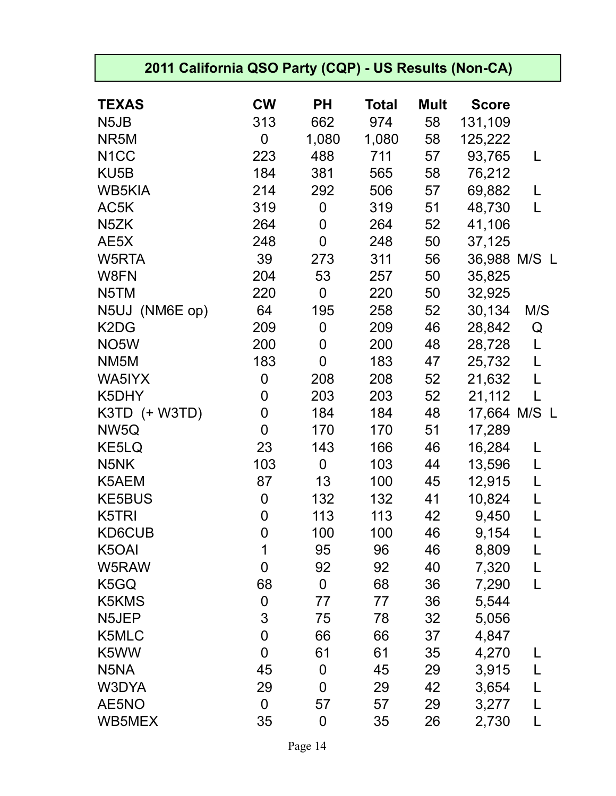| 2011 California QSO Party (CQP) - US Results (Non-CA) |                |                  |              |             |              |              |
|-------------------------------------------------------|----------------|------------------|--------------|-------------|--------------|--------------|
| <b>TEXAS</b>                                          | <b>CW</b>      | <b>PH</b>        | <b>Total</b> | <b>Mult</b> | <b>Score</b> |              |
| N <sub>5</sub> J <sub>B</sub>                         | 313            | 662              | 974          | 58          | 131,109      |              |
| NR5M                                                  | 0              | 1,080            | 1,080        | 58          | 125,222      |              |
| N <sub>1</sub> CC                                     | 223            | 488              | 711          | 57          | 93,765       | L            |
| KU <sub>5</sub> B                                     | 184            | 381              | 565          | 58          | 76,212       |              |
| <b>WB5KIA</b>                                         | 214            | 292              | 506          | 57          | 69,882       | L            |
| AC5K                                                  | 319            | $\boldsymbol{0}$ | 319          | 51          | 48,730       | L            |
| N <sub>5</sub> ZK                                     | 264            | 0                | 264          | 52          | 41,106       |              |
| AE5X                                                  | 248            | $\overline{0}$   | 248          | 50          | 37,125       |              |
| W5RTA                                                 | 39             | 273              | 311          | 56          | 36,988 M/S L |              |
| W8FN                                                  | 204            | 53               | 257          | 50          | 35,825       |              |
| N5TM                                                  | 220            | $\boldsymbol{0}$ | 220          | 50          | 32,925       |              |
| N5UJ (NM6E op)                                        | 64             | 195              | 258          | 52          | 30,134       | M/S          |
| K <sub>2</sub> D <sub>G</sub>                         | 209            | 0                | 209          | 46          | 28,842       | Q            |
| NO <sub>5</sub> W                                     | 200            | 0                | 200          | 48          | 28,728       | L            |
| NM <sub>5</sub> M                                     | 183            | $\mathbf 0$      | 183          | 47          | 25,732       | L            |
| WA5IYX                                                | $\mathbf 0$    | 208              | 208          | 52          | 21,632       | L            |
| K5DHY                                                 | 0              | 203              | 203          | 52          | 21,112       | L            |
| K3TD (+ W3TD)                                         | 0              | 184              | 184          | 48          | 17,664 M/S   | $\mathsf{L}$ |
| NW5Q                                                  | $\overline{0}$ | 170              | 170          | 51          | 17,289       |              |
| KE5LQ                                                 | 23             | 143              | 166          | 46          | 16,284       | L            |
| N <sub>5</sub> NK                                     | 103            | $\mathbf 0$      | 103          | 44          | 13,596       | L            |
| K5AEM                                                 | 87             | 13               | 100          | 45          | 12,915       | L            |
| <b>KE5BUS</b>                                         | 0              | 132              | 132          | 41          | 10,824       | L            |
| K5TRI                                                 | 0              | 113              | 113          | 42          | 9,450        | L            |
| KD6CUB                                                | 0              | 100              | 100          | 46          | 9,154        | L            |
| K5OAI                                                 | 1              | 95               | 96           | 46          | 8,809        | L            |
| W5RAW                                                 | $\overline{0}$ | 92               | 92           | 40          | 7,320        | L            |
| K5GQ                                                  | 68             | $\mathbf 0$      | 68           | 36          | 7,290        | L            |
| K5KMS                                                 | $\mathbf 0$    | 77               | 77           | 36          | 5,544        |              |
| N5JEP                                                 | 3              | 75               | 78           | 32          | 5,056        |              |
| K5MLC                                                 | $\mathbf 0$    | 66               | 66           | 37          | 4,847        |              |
| K5WW                                                  | $\overline{0}$ | 61               | 61           | 35          | 4,270        | L            |
| N5NA                                                  | 45             | $\mathbf 0$      | 45           | 29          | 3,915        | L            |
| W3DYA                                                 | 29             | $\mathbf 0$      | 29           | 42          | 3,654        | L            |
| AE5NO                                                 | $\overline{0}$ | 57               | 57           | 29          | 3,277        | L            |
| WB5MEX                                                | 35             | $\mathbf 0$      | 35           | 26          | 2,730        | L            |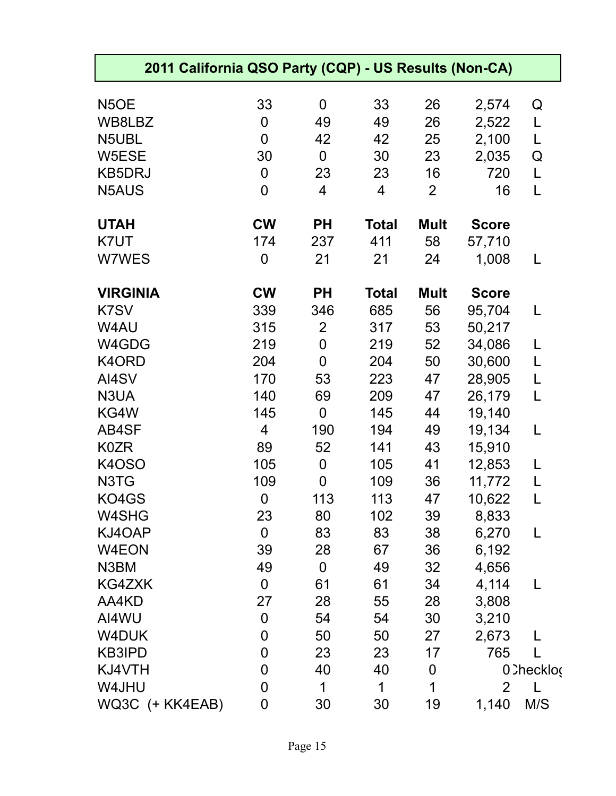| 2011 California QSO Party (CQP) - US Results (Non-CA) |                |                |              |                |                |             |
|-------------------------------------------------------|----------------|----------------|--------------|----------------|----------------|-------------|
| N <sub>5</sub> OE                                     | 33             | $\mathbf 0$    | 33           | 26             | 2,574          | Q           |
| WB8LBZ                                                | $\mathbf 0$    | 49             | 49           | 26             | 2,522          | L           |
| N5UBL                                                 | $\overline{0}$ | 42             | 42           | 25             | 2,100          | L           |
| W5ESE                                                 | 30             | 0              | 30           | 23             | 2,035          | Q           |
| <b>KB5DRJ</b>                                         | 0              | 23             | 23           | 16             | 720            | L           |
| N5AUS                                                 | $\overline{0}$ | 4              | 4            | $\overline{2}$ | 16             | L           |
| <b>UTAH</b>                                           | <b>CW</b>      | <b>PH</b>      | <b>Total</b> | <b>Mult</b>    | <b>Score</b>   |             |
| K7UT                                                  | 174            | 237            | 411          | 58             | 57,710         |             |
| W7WES                                                 | 0              | 21             | 21           | 24             | 1,008          |             |
| <b>VIRGINIA</b>                                       | <b>CW</b>      | <b>PH</b>      | <b>Total</b> | <b>Mult</b>    | <b>Score</b>   |             |
| K7SV                                                  | 339            | 346            | 685          | 56             | 95,704         | L           |
| W4AU                                                  | 315            | $\overline{2}$ | 317          | 53             | 50,217         |             |
| W4GDG                                                 | 219            | $\mathbf 0$    | 219          | 52             | 34,086         | L           |
| K4ORD                                                 | 204            | $\overline{0}$ | 204          | 50             | 30,600         | L           |
| AI4SV                                                 | 170            | 53             | 223          | 47             | 28,905         | L           |
| N3UA                                                  | 140            | 69             | 209          | 47             | 26,179         | L           |
| KG4W                                                  | 145            | 0              | 145          | 44             | 19,140         |             |
| AB4SF                                                 | $\overline{4}$ | 190            | 194          | 49             | 19,134         | L           |
| <b>K0ZR</b>                                           | 89             | 52             | 141          | 43             | 15,910         |             |
| K4OSO                                                 | 105            | $\mathbf 0$    | 105          | 41             | 12,853         | L           |
| N3TG                                                  | 109            | $\overline{0}$ | 109          | 36             | 11,772         |             |
| KO4GS                                                 | $\overline{0}$ | 113            | 113          | 47             | 10,622         |             |
| W4SHG                                                 | 23             | 80             | 102          | 39             | 8,833          |             |
| KJ4OAP                                                | $\mathbf 0$    | 83             | 83           | 38             | 6,270          | L           |
| W4EON                                                 | 39             | 28             | 67           | 36             | 6,192          |             |
| N3BM                                                  | 49             | 0              | 49           | 32             | 4,656          |             |
| KG4ZXK                                                | $\mathbf 0$    | 61             | 61           | 34             | 4,114          |             |
| AA4KD                                                 | 27             | 28             | 55           | 28             | 3,808          |             |
| AI4WU                                                 | $\mathbf 0$    | 54             | 54           | 30             | 3,210          |             |
| W4DUK                                                 | 0              | 50             | 50           | 27             | 2,673          |             |
| <b>KB3IPD</b>                                         | $\mathbf 0$    | 23             | 23           | 17             | 765            |             |
| KJ4VTH                                                | 0              | 40             | 40           | $\mathbf 0$    |                | 0. Checklog |
| W4JHU                                                 | $\overline{0}$ | 1              | 1            | 1              | $\overline{2}$ |             |
| WQ3C (+ KK4EAB)                                       | 0              | 30             | 30           | 19             | 1,140          | M/S         |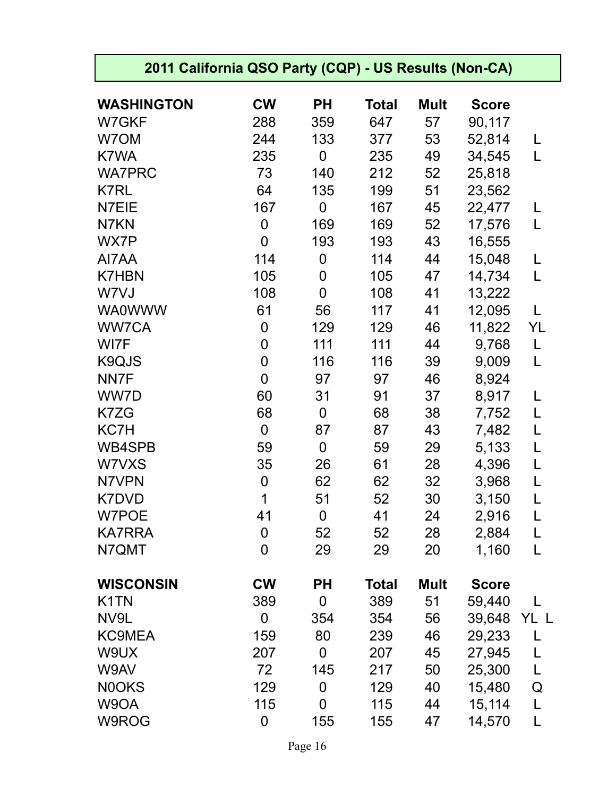| 2011 California QSO Party (CQP) - US Results (Non-CA) |                  |                |              |             |              |    |
|-------------------------------------------------------|------------------|----------------|--------------|-------------|--------------|----|
| <b>WASHINGTON</b>                                     | <b>CW</b>        | <b>PH</b>      | Total        | <b>Mult</b> | <b>Score</b> |    |
| W7GKF                                                 | 288              | 359            | 647          | 57          | 90,117       |    |
| W7OM                                                  | 244              | 133            | 377          | 53          | 52,814       | L  |
| K7WA                                                  | 235              | $\mathbf 0$    | 235          | 49          | 34,545       | L  |
| <b>WA7PRC</b>                                         | 73               | 140            | 212          | 52          | 25,818       |    |
| K7RL                                                  | 64               | 135            | 199          | 51          | 23,562       |    |
| N7EIE                                                 | 167              | $\mathbf 0$    | 167          | 45          | 22,477       | L  |
| N7KN                                                  | $\mathbf 0$      | 169            | 169          | 52          | 17,576       | L  |
| WX7P                                                  | 0                | 193            | 193          | 43          | 16,555       |    |
| AI7AA                                                 | 114              | $\mathbf 0$    | 114          | 44          | 15,048       | L  |
| <b>K7HBN</b>                                          | 105              | 0              | 105          | 47          | 14,734       | L  |
| W7VJ                                                  | 108              | $\overline{0}$ | 108          | 41          | 13,222       |    |
| <b>WA0WWW</b>                                         | 61               | 56             | 117          | 41          | 12,095       | L  |
| <b>WW7CA</b>                                          | 0                | 129            | 129          | 46          | 11,822       | YL |
| WI7F                                                  | 0                | 111            | 111          | 44          | 9,768        | L  |
| K9QJS                                                 | 0                | 116            | 116          | 39          | 9,009        | L  |
| NN7F                                                  | $\overline{0}$   | 97             | 97           | 46          | 8,924        |    |
| WW7D                                                  | 60               | 31             | 91           | 37          | 8,917        | L  |
| K7ZG                                                  | 68               | $\mathbf 0$    | 68           | 38          | 7,752        | L  |
| KC7H                                                  | $\overline{0}$   | 87             | 87           | 43          | 7,482        | L  |
| WB4SPB                                                | 59               | $\mathbf 0$    | 59           | 29          | 5,133        | L  |
| W7VXS                                                 | 35               | 26             | 61           | 28          | 4,396        | L  |
| N7VPN                                                 | $\boldsymbol{0}$ | 62             | 62           | 32          | 3,968        | L  |
| K7DVD                                                 | 1                | 51             | 52           | 30          | 3,150        |    |
| W7POE                                                 | 41               | $\overline{0}$ | 41           | 24          | 2,916        | L  |
| <b>KA7RRA</b>                                         | $\overline{0}$   | 52             | 52           | 28          | 2,884        | L  |
| N7QMT                                                 | 0                | 29             | 29           | 20          | 1,160        | L  |
| <b>WISCONSIN</b>                                      | <b>CW</b>        | <b>PH</b>      | <b>Total</b> | <b>Mult</b> | <b>Score</b> |    |
| K <sub>1</sub> TN                                     | 389              | $\mathbf 0$    | 389          | 51          | 59,440       | L  |
| NV9L                                                  | 0                | 354            | 354          | 56          | 39,648 YL L  |    |
| <b>KC9MEA</b>                                         | 159              | 80             | 239          | 46          | 29,233       |    |
| W9UX                                                  | 207              | 0              | 207          | 45          | 27,945       | L  |
| W9AV                                                  | 72               | 145            | 217          | 50          | 25,300       | L  |
| N0OKS                                                 | 129              | $\mathbf 0$    | 129          | 40          | 15,480       | Q  |
| W9OA                                                  | 115              | $\mathbf 0$    | 115          | 44          | 15,114       | L  |
| W9ROG                                                 | 0                | 155            | 155          | 47          | 14,570       | L  |